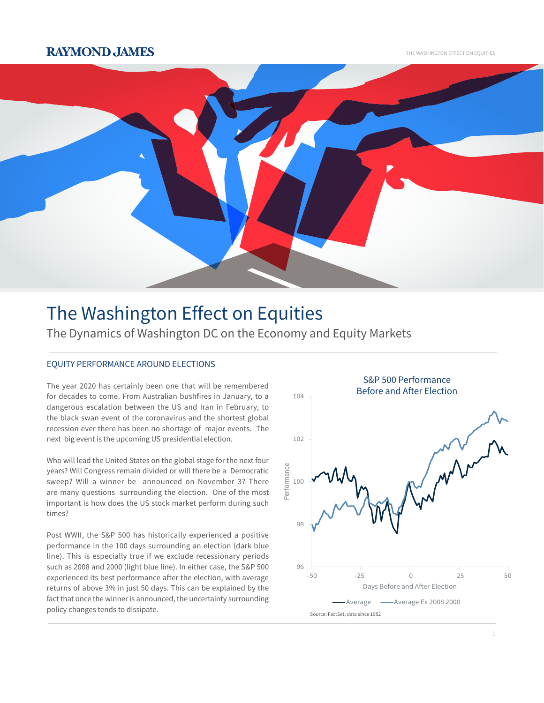## **RAYMOND JAMES**

THE WASHINGTON EFFECT ON EQUITIES



# The Washington Effect on Equities

The Dynamics of Washington DC on the Economy and Equity Markets

### EQUITY PERFORMANCE AROUND ELECTIONS

The year 2020 has certainly been one that will be remembered for decades to come. From Australian bushfires in January, to a dangerous escalation between the US and Iran in February, to the black swan event of the coronavirus and the shortest global recession ever there has been no shortage of major events. The next big event is the upcoming US presidential election.

Who will lead the United States on the global stage for the next four years? Will Congress remain divided or will there be a Democratic sweep? Will a winner be announced on November 3? There are many questions surrounding the election. One of the most important is how does the US stock market perform during such times?

Post WWII, the S&P 500 has historically experienced a positive performance in the 100 days surrounding an election (dark blue line). This is especially true if we exclude recessionary periods such as 2008 and 2000 (light blue line). In either case, the S&P 500 experienced its best performance after the election, with average returns of above 3% in just 50 days. This can be explained by the fact that once the winner is announced, the uncertainty surrounding policy changes tends to dissipate.

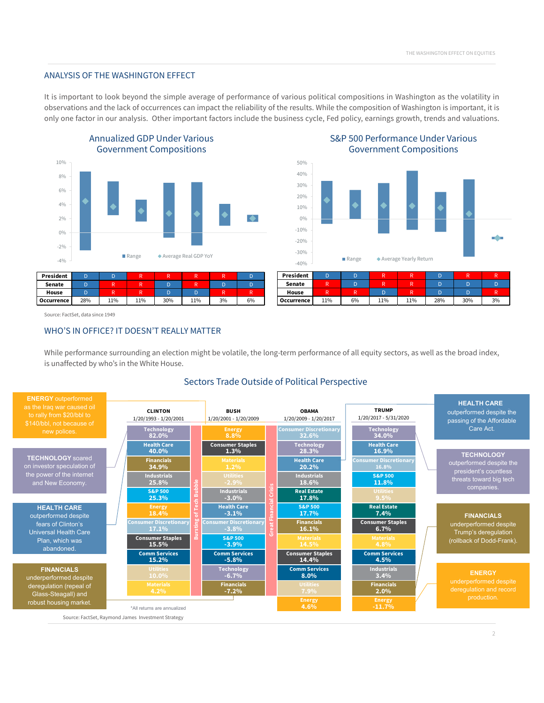#### ANALYSIS OF THE WASHINGTON EFFECT

It is important to look beyond the simple average of performance of various political compositions in Washington as the volatility in observations and the lack of occurrences can impact the reliability of the results. While the composition of Washington is important, it is only one factor in our analysis. Other important factors include the business cycle, Fed policy, earnings growth, trends and valuations.

> 40% 50%





**House** R R R D R D D R **Occurrence** 11% 6% 11% 11% 28% 30% 3%

Source: FactSet, data since 1949

#### WHO'S IN OFFICE? IT DOESN'T REALLY MATTER

While performance surrounding an election might be volatile, the long-term performance of all equity sectors, as well as the broad index, is unaffected by who's in the White House.

#### Sectors Trade Outside of Political Perspective



S&P 500 Performance Under Various Government Compositions

 $\overline{2}$